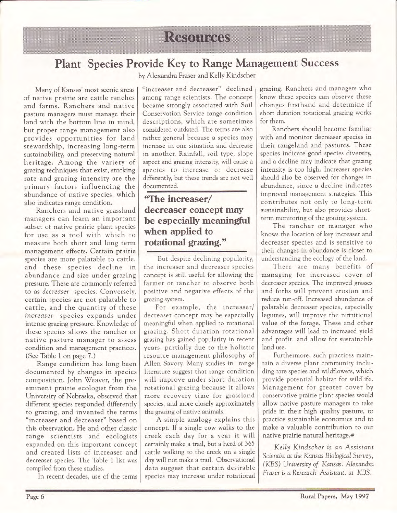## **Resources**

### Plant Species Provide Key to Range Management Success

by Alexandra Fraser and Kelly Kindscher

Many of Kansas' most scenic areas of native prairie are cattle ranches and farms. Ranchers and native pasture managers must manage their land with the bottom line in mind, but proper range management also provides opportunities for land stewardship, increasing long-term sustainability, and preserving natural heritage. Among the variety of grazing techniques that exist, stocking rate and grazing intensity are the primary factors influencing the abundance of native species, which also indicates range condition.

Ranchers and native grassland managers can learn an important subset of native prairie plant species for use as a tool with which to measure both short and long term management effects. Certain prairie species are more palatable to cattle, and these species decline in abundance and size under grazing pressure. These are commonly referred to as decreaser species. Conversely, certain species are not palatable to cattle, and the quantity of these increaser species expands under intense grazing pressure. Knowledge of these species allows the rancher or native pasture manager to assess condition and management practices. (See Table 1 on page 7.)

Range condition has long been documented by changes in species composition. John'Weaver, the preeminent prairie ecologist from the University of Nebraska, observed that different species responded differently to grazing, and invented the terms "increaser and decreaser" based on this observation. He and other classic range scientists and ecologists expanded on this important concept and created lists of increaser and decreaser species. The Table 1 list was compiled from these studies.

In recent decades, use of the terms

"increaser and decreaser" declined among range scientists. The concept became strongly associated with Soil Conservation Service range condition descriptions, which are sometimes considered outdated. The terms are also rather general because a species may increase in one situation and decrease in another. Rainfall, soil type, slope aspect and grazing intensity, wiil cause <sup>a</sup> species to increase or decrease differently, but these trends are not well documented.

### "The increaser/ decreaser concept may when applied to rotational grazing." be especially meaningful

But despite declining popularity, the increaser and decreaser species concept is still useful for allowing the farmer or rancher to observe both positive and negative effects of the grazing system.

For example, the increaser/ decreaser concept may be especially meaningful when applied to rotational grazing. Short duration rotational grazing has gained popularity in recent years, partially due to the holistic resource management philosophy of Allen Savory. Many studies in range literature suggest that range condition will improve under short duration rotational grazing because it allows more recovery time for grassland species, and more closely approximately the grazing of native animals.

A simple analogy explains this concept. If a single cow walks to the creek each day for a year it will certainly make a trail, but a herd of 365 cattle walking to the creek on a single day will not make a trail. Observational data suggest that certain desirable species may increase under rotational

grazing. Ranchers and managers who know these species can observe these changes firsthand and determine if short duration rotational grazing works for them.

Ranchers should become familiar with and monitor decreaser species in their rangeland and pastures. These species indicate good species diversity, and a decline may indicate that grazing intensity is too high. Increaser species should also be observed for changes in abundance, since a decline indicates improved management strategies. This contributes not only to long-term sustainability, but also provides shortterm monitoring of the grazing system.

The rancher or manager who knows the location of key increaser and decreaser species and is sensitive to their changes in abundance is closer to understanding the ecology of the land.

There are many benefits of managing for increased cover of decreaser species. The improved grasses and forbs will prevent erosion and reduce run-off. Increased abundance of palatable decreaser species, especially legumes, will improve the nutritional value of the forage. These and other advantages will lead to increased yield and profit. and allow for sustainable land use.

Furthermore, such practices maintain a diverse plant community including rare species and wildflowers, which provide potential habitat for wildlife. Management for greater cover by conservative prairie plant species would allow native pasture managers to take pride in their high qualiry pasture, to practice sustainable economics and to make a valuable contribution to our native prairie natural heritage.#

Kelly Kindscher is an Assistant Scientist at the Kansas Biological Survey, (KBS) University of Kansas. Alexandra Fraser is a Research Assistant, at KBS.